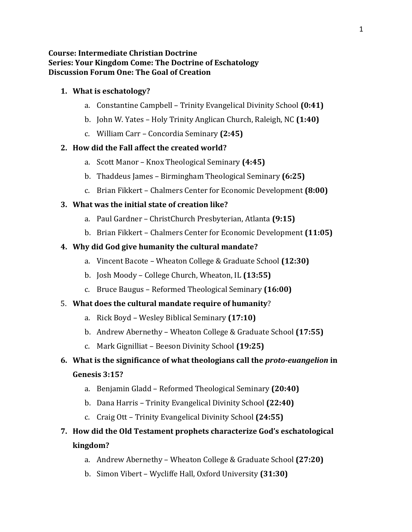#### **Course: Intermediate Christian Doctrine Series: Your Kingdom Come: The Doctrine of Eschatology Discussion Forum One: The Goal of Creation**

#### **1. What is eschatology?**

- a. Constantine Campbell Trinity Evangelical Divinity School **(0:41)**
- b. John W. Yates Holy Trinity Anglican Church, Raleigh, NC **(1:40)**
- c. William Carr Concordia Seminary **(2:45)**

#### **2. How did the Fall affect the created world?**

- a. Scott Manor Knox Theological Seminary **(4:45)**
- b. Thaddeus James Birmingham Theological Seminary **(6:25)**
- c. Brian Fikkert Chalmers Center for Economic Development **(8:00)**

#### **3. What was the initial state of creation like?**

- a. Paul Gardner ChristChurch Presbyterian, Atlanta **(9:15)**
- b. Brian Fikkert Chalmers Center for Economic Development **(11:05)**

#### **4. Why did God give humanity the cultural mandate?**

- a. Vincent Bacote Wheaton College & Graduate School **(12:30)**
- b. Josh Moody College Church, Wheaton, IL **(13:55)**
- c. Bruce Baugus Reformed Theological Seminary **(16:00)**

#### 5. **What does the cultural mandate require of humanity**?

- a. Rick Boyd Wesley Biblical Seminary **(17:10)**
- b. Andrew Abernethy Wheaton College & Graduate School **(17:55)**
- c. Mark Gignilliat Beeson Divinity School **(19:25)**

# **6. What is the significance of what theologians call the** *proto-euangelion* **in**

### **Genesis 3:15?**

- a. Benjamin Gladd Reformed Theological Seminary **(20:40)**
- b. Dana Harris Trinity Evangelical Divinity School **(22:40)**
- c. Craig Ott Trinity Evangelical Divinity School **(24:55)**

# **7. How did the Old Testament prophets characterize God's eschatological kingdom?**

- a. Andrew Abernethy Wheaton College & Graduate School **(27:20)**
- b. Simon Vibert Wycliffe Hall, Oxford University **(31:30)**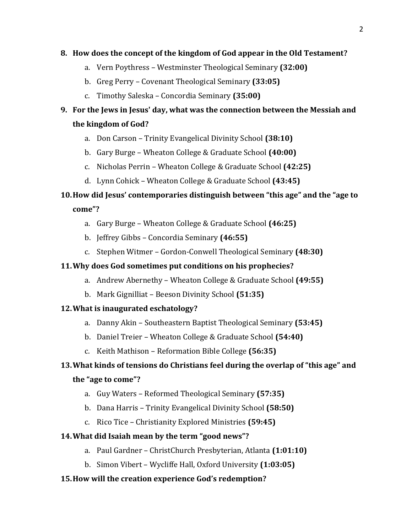#### **8. How does the concept of the kingdom of God appear in the Old Testament?**

- a. Vern Poythress Westminster Theological Seminary **(32:00)**
- b. Greg Perry Covenant Theological Seminary **(33:05)**
- c. Timothy Saleska Concordia Seminary **(35:00)**

# **9. For the Jews in Jesus' day, what was the connection between the Messiah and the kingdom of God?**

- a. Don Carson Trinity Evangelical Divinity School **(38:10)**
- b. Gary Burge Wheaton College & Graduate School **(40:00)**
- c. Nicholas Perrin Wheaton College & Graduate School **(42:25)**
- d. Lynn Cohick Wheaton College & Graduate School **(43:45)**

# **10.How did Jesus' contemporaries distinguish between "this age" and the "age to**

**come"?**

- a. Gary Burge Wheaton College & Graduate School **(46:25)**
- b. Jeffrey Gibbs Concordia Seminary **(46:55)**
- c. Stephen Witmer Gordon-Conwell Theological Seminary **(48:30)**

### **11.Why does God sometimes put conditions on his prophecies?**

- a. Andrew Abernethy Wheaton College & Graduate School **(49:55)**
- b. Mark Gignilliat Beeson Divinity School **(51:35)**

# **12.What is inaugurated eschatology?**

- a. Danny Akin Southeastern Baptist Theological Seminary **(53:45)**
- b. Daniel Treier Wheaton College & Graduate School **(54:40)**
- c. Keith Mathison Reformation Bible College **(56:35)**

# **13.What kinds of tensions do Christians feel during the overlap of "this age" and**

# **the "age to come"?**

- a. Guy Waters Reformed Theological Seminary **(57:35)**
- b. Dana Harris Trinity Evangelical Divinity School **(58:50)**
- c. Rico Tice Christianity Explored Ministries **(59:45)**

#### **14.What did Isaiah mean by the term "good news"?**

- a. Paul Gardner ChristChurch Presbyterian, Atlanta **(1:01:10)**
- b. Simon Vibert Wycliffe Hall, Oxford University **(1:03:05)**

# **15.How will the creation experience God's redemption?**